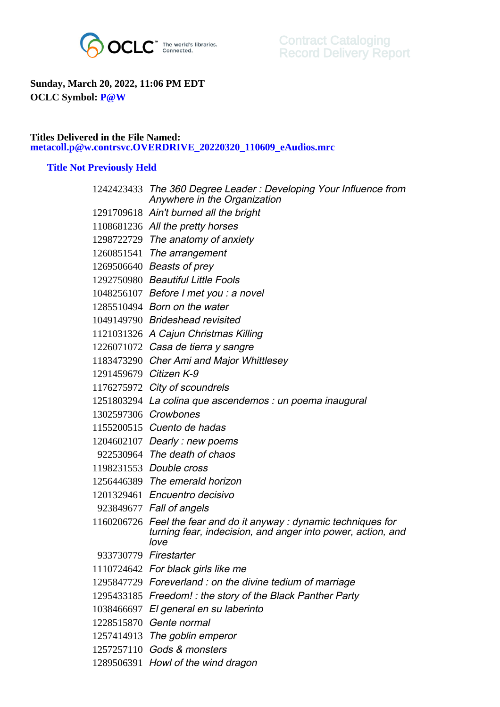

## **Sunday, March 20, 2022, 11:06 PM EDT OCLC Symbol: P@W**

## **Titles Delivered in the File Named: metacoll.p@w.contrsvc.OVERDRIVE\_20220320\_110609\_eAudios.mrc**

## **Title Not Previously Held**

| 1291709618 Ain't burned all the bright<br>1108681236 All the pretty horses<br>1298722729 The anatomy of anxiety<br>1260851541 The arrangement<br>1269506640 Beasts of prey<br>1292750980 Beautiful Little Fools<br>1048256107 Before I met you : a novel<br>1285510494 Born on the water<br>1049149790 Brideshead revisited<br>1121031326 A Cajun Christmas Killing<br>1226071072 Casa de tierra y sangre<br>1183473290 Cher Ami and Major Whittlesey<br>1291459679 Citizen K-9<br>1176275972 City of scoundrels<br>1251803294 La colina que ascendemos : un poema inaugural<br>1302597306 Crowbones<br>1155200515 Cuento de hadas<br>$1204602107$ Dearly: new poems<br>922530964 The death of chaos<br>1198231553 Double cross<br>1256446389 The emerald horizon<br>1201329461 Encuentro decisivo<br>923849677 Fall of angels<br>1160206726 Feel the fear and do it anyway: dynamic techniques for<br>turning fear, indecision, and anger into power, action, and<br>love<br>933730779 Firestarter<br>1110724642 For black girls like me<br>1295847729 Foreverland: on the divine tedium of marriage<br>1295433185 Freedom!: the story of the Black Panther Party<br>1038466697 El general en su laberinto<br>1228515870 Gente normal<br>1257414913 The goblin emperor<br>1257257110 Gods & monsters | 1242423433 The 360 Degree Leader: Developing Your Influence from<br>Anywhere in the Organization |
|-------------------------------------------------------------------------------------------------------------------------------------------------------------------------------------------------------------------------------------------------------------------------------------------------------------------------------------------------------------------------------------------------------------------------------------------------------------------------------------------------------------------------------------------------------------------------------------------------------------------------------------------------------------------------------------------------------------------------------------------------------------------------------------------------------------------------------------------------------------------------------------------------------------------------------------------------------------------------------------------------------------------------------------------------------------------------------------------------------------------------------------------------------------------------------------------------------------------------------------------------------------------------------------------------------|--------------------------------------------------------------------------------------------------|
|                                                                                                                                                                                                                                                                                                                                                                                                                                                                                                                                                                                                                                                                                                                                                                                                                                                                                                                                                                                                                                                                                                                                                                                                                                                                                                       |                                                                                                  |
|                                                                                                                                                                                                                                                                                                                                                                                                                                                                                                                                                                                                                                                                                                                                                                                                                                                                                                                                                                                                                                                                                                                                                                                                                                                                                                       |                                                                                                  |
|                                                                                                                                                                                                                                                                                                                                                                                                                                                                                                                                                                                                                                                                                                                                                                                                                                                                                                                                                                                                                                                                                                                                                                                                                                                                                                       |                                                                                                  |
|                                                                                                                                                                                                                                                                                                                                                                                                                                                                                                                                                                                                                                                                                                                                                                                                                                                                                                                                                                                                                                                                                                                                                                                                                                                                                                       |                                                                                                  |
|                                                                                                                                                                                                                                                                                                                                                                                                                                                                                                                                                                                                                                                                                                                                                                                                                                                                                                                                                                                                                                                                                                                                                                                                                                                                                                       |                                                                                                  |
|                                                                                                                                                                                                                                                                                                                                                                                                                                                                                                                                                                                                                                                                                                                                                                                                                                                                                                                                                                                                                                                                                                                                                                                                                                                                                                       |                                                                                                  |
|                                                                                                                                                                                                                                                                                                                                                                                                                                                                                                                                                                                                                                                                                                                                                                                                                                                                                                                                                                                                                                                                                                                                                                                                                                                                                                       |                                                                                                  |
|                                                                                                                                                                                                                                                                                                                                                                                                                                                                                                                                                                                                                                                                                                                                                                                                                                                                                                                                                                                                                                                                                                                                                                                                                                                                                                       |                                                                                                  |
|                                                                                                                                                                                                                                                                                                                                                                                                                                                                                                                                                                                                                                                                                                                                                                                                                                                                                                                                                                                                                                                                                                                                                                                                                                                                                                       |                                                                                                  |
|                                                                                                                                                                                                                                                                                                                                                                                                                                                                                                                                                                                                                                                                                                                                                                                                                                                                                                                                                                                                                                                                                                                                                                                                                                                                                                       |                                                                                                  |
|                                                                                                                                                                                                                                                                                                                                                                                                                                                                                                                                                                                                                                                                                                                                                                                                                                                                                                                                                                                                                                                                                                                                                                                                                                                                                                       |                                                                                                  |
|                                                                                                                                                                                                                                                                                                                                                                                                                                                                                                                                                                                                                                                                                                                                                                                                                                                                                                                                                                                                                                                                                                                                                                                                                                                                                                       |                                                                                                  |
|                                                                                                                                                                                                                                                                                                                                                                                                                                                                                                                                                                                                                                                                                                                                                                                                                                                                                                                                                                                                                                                                                                                                                                                                                                                                                                       |                                                                                                  |
|                                                                                                                                                                                                                                                                                                                                                                                                                                                                                                                                                                                                                                                                                                                                                                                                                                                                                                                                                                                                                                                                                                                                                                                                                                                                                                       |                                                                                                  |
|                                                                                                                                                                                                                                                                                                                                                                                                                                                                                                                                                                                                                                                                                                                                                                                                                                                                                                                                                                                                                                                                                                                                                                                                                                                                                                       |                                                                                                  |
|                                                                                                                                                                                                                                                                                                                                                                                                                                                                                                                                                                                                                                                                                                                                                                                                                                                                                                                                                                                                                                                                                                                                                                                                                                                                                                       |                                                                                                  |
|                                                                                                                                                                                                                                                                                                                                                                                                                                                                                                                                                                                                                                                                                                                                                                                                                                                                                                                                                                                                                                                                                                                                                                                                                                                                                                       |                                                                                                  |
|                                                                                                                                                                                                                                                                                                                                                                                                                                                                                                                                                                                                                                                                                                                                                                                                                                                                                                                                                                                                                                                                                                                                                                                                                                                                                                       |                                                                                                  |
|                                                                                                                                                                                                                                                                                                                                                                                                                                                                                                                                                                                                                                                                                                                                                                                                                                                                                                                                                                                                                                                                                                                                                                                                                                                                                                       |                                                                                                  |
|                                                                                                                                                                                                                                                                                                                                                                                                                                                                                                                                                                                                                                                                                                                                                                                                                                                                                                                                                                                                                                                                                                                                                                                                                                                                                                       |                                                                                                  |
|                                                                                                                                                                                                                                                                                                                                                                                                                                                                                                                                                                                                                                                                                                                                                                                                                                                                                                                                                                                                                                                                                                                                                                                                                                                                                                       |                                                                                                  |
|                                                                                                                                                                                                                                                                                                                                                                                                                                                                                                                                                                                                                                                                                                                                                                                                                                                                                                                                                                                                                                                                                                                                                                                                                                                                                                       |                                                                                                  |
|                                                                                                                                                                                                                                                                                                                                                                                                                                                                                                                                                                                                                                                                                                                                                                                                                                                                                                                                                                                                                                                                                                                                                                                                                                                                                                       |                                                                                                  |
|                                                                                                                                                                                                                                                                                                                                                                                                                                                                                                                                                                                                                                                                                                                                                                                                                                                                                                                                                                                                                                                                                                                                                                                                                                                                                                       |                                                                                                  |
|                                                                                                                                                                                                                                                                                                                                                                                                                                                                                                                                                                                                                                                                                                                                                                                                                                                                                                                                                                                                                                                                                                                                                                                                                                                                                                       |                                                                                                  |
|                                                                                                                                                                                                                                                                                                                                                                                                                                                                                                                                                                                                                                                                                                                                                                                                                                                                                                                                                                                                                                                                                                                                                                                                                                                                                                       |                                                                                                  |
|                                                                                                                                                                                                                                                                                                                                                                                                                                                                                                                                                                                                                                                                                                                                                                                                                                                                                                                                                                                                                                                                                                                                                                                                                                                                                                       |                                                                                                  |
|                                                                                                                                                                                                                                                                                                                                                                                                                                                                                                                                                                                                                                                                                                                                                                                                                                                                                                                                                                                                                                                                                                                                                                                                                                                                                                       |                                                                                                  |
|                                                                                                                                                                                                                                                                                                                                                                                                                                                                                                                                                                                                                                                                                                                                                                                                                                                                                                                                                                                                                                                                                                                                                                                                                                                                                                       |                                                                                                  |
|                                                                                                                                                                                                                                                                                                                                                                                                                                                                                                                                                                                                                                                                                                                                                                                                                                                                                                                                                                                                                                                                                                                                                                                                                                                                                                       |                                                                                                  |
|                                                                                                                                                                                                                                                                                                                                                                                                                                                                                                                                                                                                                                                                                                                                                                                                                                                                                                                                                                                                                                                                                                                                                                                                                                                                                                       |                                                                                                  |
|                                                                                                                                                                                                                                                                                                                                                                                                                                                                                                                                                                                                                                                                                                                                                                                                                                                                                                                                                                                                                                                                                                                                                                                                                                                                                                       |                                                                                                  |
|                                                                                                                                                                                                                                                                                                                                                                                                                                                                                                                                                                                                                                                                                                                                                                                                                                                                                                                                                                                                                                                                                                                                                                                                                                                                                                       | 1289506391 Howl of the wind dragon                                                               |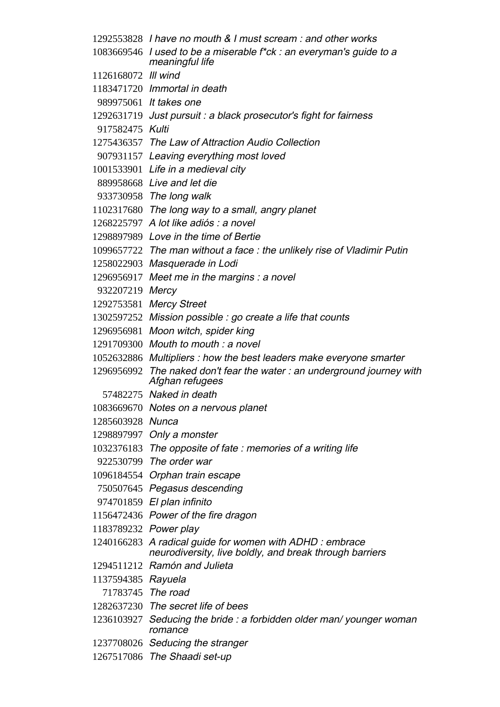I have no mouth & I must scream : and other works I used to be a miserable f\*ck : an everyman's guide to a meaningful life Ill wind Immortal in death It takes one Just pursuit : a black prosecutor's fight for fairness Kulti The Law of Attraction Audio Collection Leaving everything most loved Life in a medieval city Live and let die The long walk The long way to a small, angry planet A lot like adiós : a novel Love in the time of Bertie The man without a face : the unlikely rise of Vladimir Putin Masquerade in Lodi Meet me in the margins : a novel Mercy Mercy Street Mission possible : go create a life that counts Moon witch, spider king Mouth to mouth : a novel Multipliers : how the best leaders make everyone smarter The naked don't fear the water : an underground journey with Afghan refugees Naked in death Notes on a nervous planet Nunca Only a monster The opposite of fate : memories of a writing life The order war Orphan train escape Pegasus descending El plan infinito Power of the fire dragon Power play A radical guide for women with ADHD : embrace neurodiversity, live boldly, and break through barriers Ramón and Julieta Rayuela The road The secret life of bees Seducing the bride : a forbidden older man/ younger woman romance Seducing the stranger The Shaadi set-up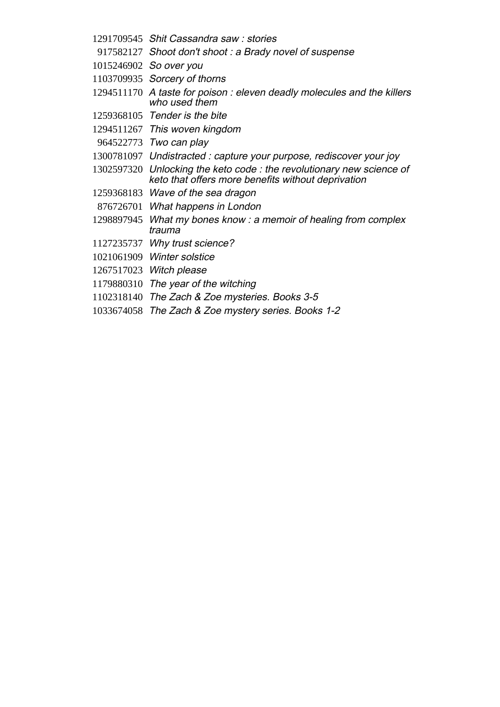- Shit Cassandra saw : stories
- 917582127 Shoot don't shoot : a Brady novel of suspense
- So over you
- Sorcery of thorns
- A taste for poison : eleven deadly molecules and the killers who used them
- Tender is the bite
- This woven kingdom
- Two can play
- Undistracted : capture your purpose, rediscover your joy
- Unlocking the keto code : the revolutionary new science of keto that offers more benefits without deprivation
- Wave of the sea dragon
- What happens in London
- What my bones know : a memoir of healing from complex trauma
- Why trust science?
- Winter solstice
- Witch please
- The year of the witching
- The Zach & Zoe mysteries. Books 3-5
- The Zach & Zoe mystery series. Books 1-2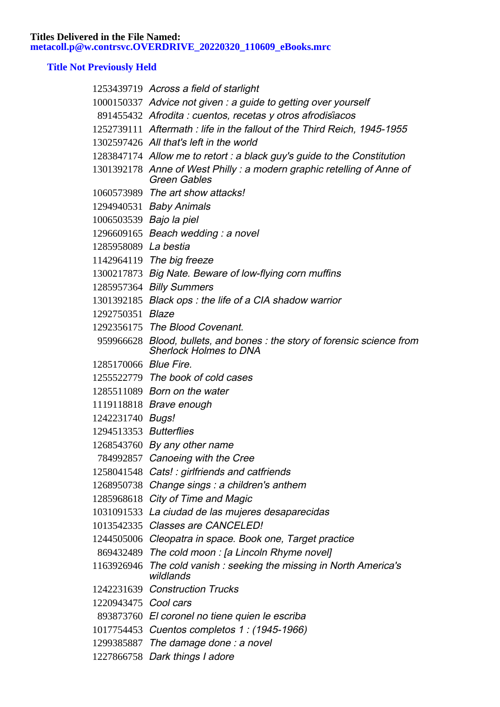**Titles Delivered in the File Named: metacoll.p@w.contrsvc.OVERDRIVE\_20220320\_110609\_eBooks.mrc**

## **Title Not Previously Held**

|                        | 1253439719 Across a field of starlight                                                                    |
|------------------------|-----------------------------------------------------------------------------------------------------------|
|                        | 1000150337 Advice not given : a guide to getting over yourself                                            |
|                        | 891455432 Afrodita : cuentos, recetas y otros afrodisiacos                                                |
|                        | 1252739111 Aftermath : life in the fallout of the Third Reich, 1945-1955                                  |
|                        | 1302597426 All that's left in the world                                                                   |
|                        | 1283847174 Allow me to retort : a black guy's guide to the Constitution                                   |
|                        | 1301392178 Anne of West Philly: a modern graphic retelling of Anne of<br><b>Green Gables</b>              |
|                        | 1060573989 The art show attacks!                                                                          |
|                        | 1294940531 Baby Animals                                                                                   |
|                        | 1006503539 Bajo la piel                                                                                   |
|                        | 1296609165 Beach wedding: a novel                                                                         |
| 1285958089 La bestia   |                                                                                                           |
|                        | $1142964119$ The big freeze                                                                               |
|                        | 1300217873 Big Nate. Beware of low-flying corn muffins                                                    |
|                        | 1285957364 Billy Summers                                                                                  |
|                        | 1301392185 Black ops: the life of a CIA shadow warrior                                                    |
| 1292750351 Blaze       |                                                                                                           |
|                        | 1292356175 The Blood Covenant.                                                                            |
|                        | 959966628 Blood, bullets, and bones : the story of forensic science from<br><b>Sherlock Holmes to DNA</b> |
| 1285170066 Blue Fire.  |                                                                                                           |
|                        | 1255522779 The book of cold cases                                                                         |
|                        | 1285511089 Born on the water                                                                              |
|                        | 1119118818 Brave enough                                                                                   |
| 1242231740 Bugs!       |                                                                                                           |
| 1294513353 Butterflies |                                                                                                           |
|                        | 1268543760 By any other name                                                                              |
|                        | 784992857 Canoeing with the Cree                                                                          |
|                        | 1258041548 Cats!: girlfriends and catfriends                                                              |
|                        | 1268950738 Change sings : a children's anthem                                                             |
|                        | 1285968618 City of Time and Magic                                                                         |
|                        | 1031091533 La ciudad de las mujeres desaparecidas                                                         |
|                        | 1013542335 Classes are CANCELED!                                                                          |
|                        | 1244505006 Cleopatra in space. Book one, Target practice                                                  |
|                        | 869432489 The cold moon: [a Lincoln Rhyme novel]                                                          |
|                        | 1163926946 The cold vanish: seeking the missing in North America's<br>wildlands                           |
|                        | 1242231639 Construction Trucks                                                                            |
| 1220943475 Cool cars   |                                                                                                           |
|                        | 893873760 El coronel no tiene quien le escriba                                                            |
|                        | 1017754453 Cuentos completos 1: (1945-1966)                                                               |
|                        | 1299385887 The damage done: a novel                                                                       |
|                        | 1227866758 Dark things I adore                                                                            |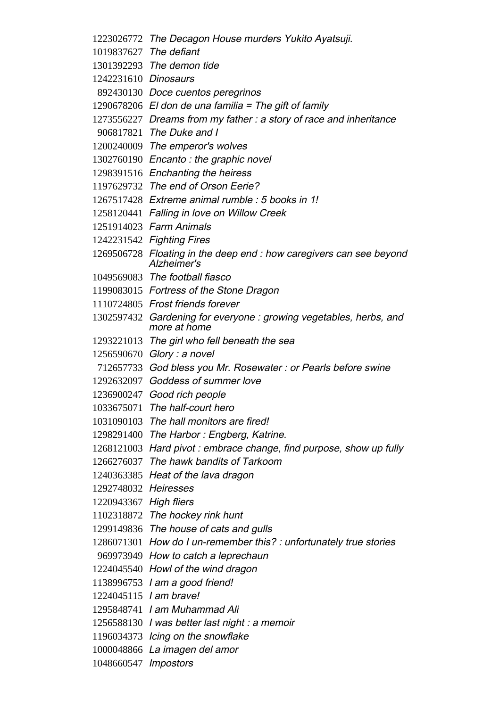The Decagon House murders Yukito Ayatsuji. The defiant The demon tide Dinosaurs Doce cuentos peregrinos 1290678206 El don de una familia = The gift of family Dreams from my father : a story of race and inheritance The Duke and I The emperor's wolves Encanto : the graphic novel Enchanting the heiress The end of Orson Eerie? Extreme animal rumble : 5 books in 1! Falling in love on Willow Creek Farm Animals Fighting Fires Floating in the deep end : how caregivers can see beyond Alzheimer's The football fiasco Fortress of the Stone Dragon Frost friends forever Gardening for everyone : growing vegetables, herbs, and more at home The girl who fell beneath the sea Glory : a novel God bless you Mr. Rosewater : or Pearls before swine Goddess of summer love Good rich people The half-court hero The hall monitors are fired! The Harbor : Engberg, Katrine. Hard pivot : embrace change, find purpose, show up fully The hawk bandits of Tarkoom Heat of the lava dragon Heiresses High fliers The hockey rink hunt The house of cats and gulls How do I un-remember this? : unfortunately true stories How to catch a leprechaun Howl of the wind dragon I am a good friend! I am brave! I am Muhammad Ali I was better last night : a memoir Icing on the snowflake La imagen del amor Impostors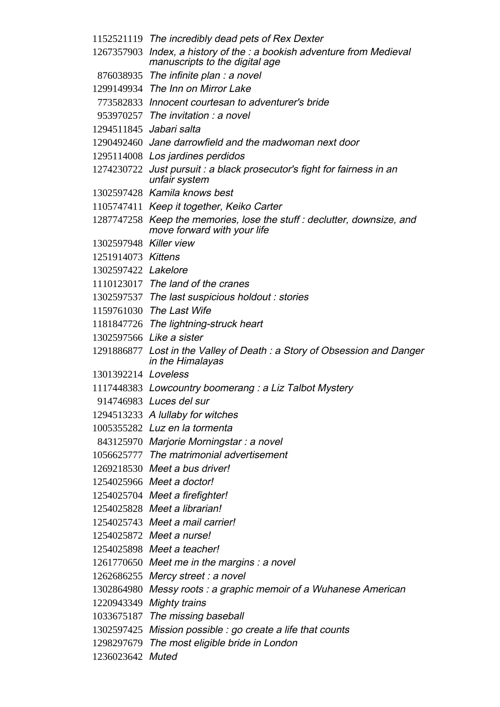The incredibly dead pets of Rex Dexter Index, a history of the : a bookish adventure from Medieval manuscripts to the digital age The infinite plan : a novel The Inn on Mirror Lake Innocent courtesan to adventurer's bride The invitation : a novel Jabari salta Jane darrowfield and the madwoman next door Los jardines perdidos Just pursuit : a black prosecutor's fight for fairness in an unfair system Kamila knows best Keep it together, Keiko Carter Keep the memories, lose the stuff : declutter, downsize, and move forward with your life Killer view Kittens Lakelore The land of the cranes The last suspicious holdout : stories The Last Wife The lightning-struck heart Like a sister 1291886877 Lost in the Valley of Death : a Story of Obsession and Danger in the Himalayas Loveless Lowcountry boomerang : a Liz Talbot Mystery Luces del sur A lullaby for witches Luz en la tormenta Marjorie Morningstar : a novel The matrimonial advertisement Meet a bus driver! Meet a doctor! Meet a firefighter! Meet a librarian! Meet a mail carrier! Meet a nurse! Meet a teacher! Meet me in the margins : a novel Mercy street : a novel Messy roots : a graphic memoir of a Wuhanese American Mighty trains The missing baseball Mission possible : go create a life that counts The most eligible bride in London Muted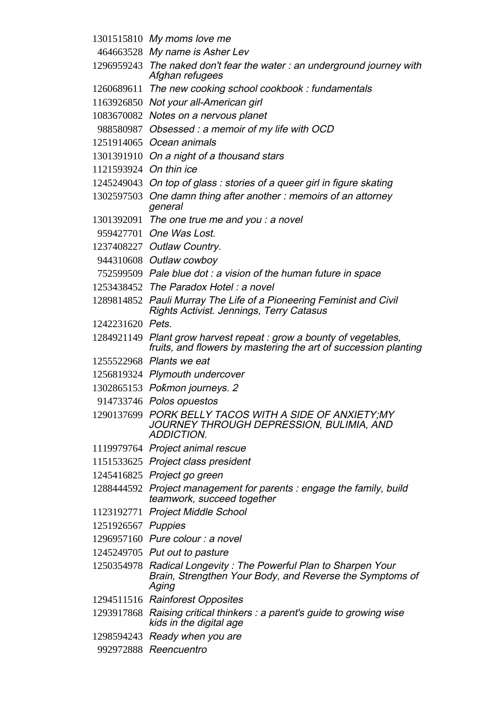My moms love me My name is Asher Lev The naked don't fear the water : an underground journey with Afghan refugees The new cooking school cookbook : fundamentals Not your all-American girl Notes on a nervous planet 988580987 Obsessed : a memoir of my life with OCD Ocean animals On a night of a thousand stars On thin ice On top of glass : stories of a queer girl in figure skating One damn thing after another : memoirs of an attorney general 1301392091 The one true me and you : a novel One Was Lost. Outlaw Country. Outlaw cowboy Pale blue dot : a vision of the human future in space The Paradox Hotel : a novel Pauli Murray The Life of a Pioneering Feminist and Civil Rights Activist. Jennings, Terry Catasus Pets. Plant grow harvest repeat : grow a bounty of vegetables, fruits, and flowers by mastering the art of succession planting Plants we eat Plymouth undercover 1302865153 Pokmon journeys. 2 Polos opuestos PORK BELLY TACOS WITH A SIDE OF ANXIETY;MY JOURNEY THROUGH DEPRESSION, BULIMIA, AND ADDICTION. Project animal rescue Project class president Project go green 1288444592 Project management for parents : engage the family, build teamwork, succeed together Project Middle School Puppies Pure colour : a novel Put out to pasture Radical Longevity : The Powerful Plan to Sharpen Your Brain, Strengthen Your Body, and Reverse the Symptoms of Aging Rainforest Opposites Raising critical thinkers : a parent's guide to growing wise kids in the digital age Ready when you are Reencuentro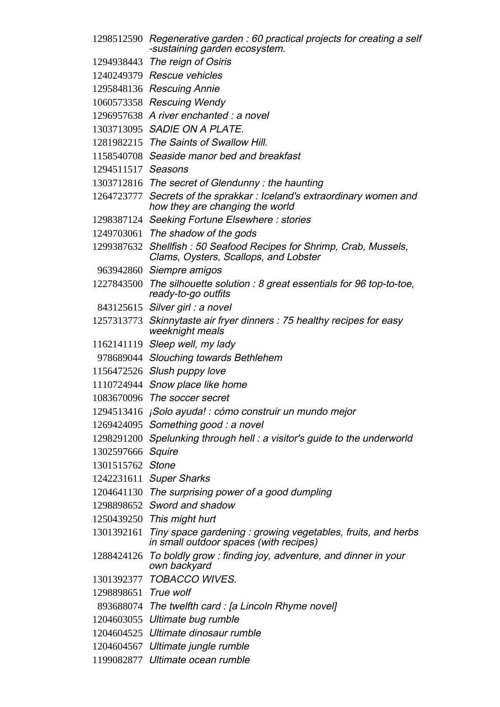Regenerative garden : 60 practical projects for creating a self -sustaining garden ecosystem. The reign of Osiris Rescue vehicles Rescuing Annie Rescuing Wendy A river enchanted : a novel SADIE ON A PLATE. The Saints of Swallow Hill. Seaside manor bed and breakfast Seasons The secret of Glendunny : the haunting Secrets of the sprakkar : Iceland's extraordinary women and how they are changing the world Seeking Fortune Elsewhere : stories The shadow of the gods Shellfish : 50 Seafood Recipes for Shrimp, Crab, Mussels, Clams, Oysters, Scallops, and Lobster Siempre amigos The silhouette solution : 8 great essentials for 96 top-to-toe, ready-to-go outfits Silver girl : a novel Skinnytaste air fryer dinners : 75 healthy recipes for easy weeknight meals Sleep well, my lady Slouching towards Bethlehem Slush puppy love Snow place like home The soccer secret ¡Solo ayuda! : cómo construir un mundo mejor Something good : a novel Spelunking through hell : a visitor's guide to the underworld Squire Stone Super Sharks The surprising power of a good dumpling Sword and shadow This might hurt Tiny space gardening : growing vegetables, fruits, and herbs in small outdoor spaces (with recipes) To boldly grow : finding joy, adventure, and dinner in your own backyard TOBACCO WIVES. True wolf The twelfth card : [a Lincoln Rhyme novel] Ultimate bug rumble Ultimate dinosaur rumble Ultimate jungle rumble Ultimate ocean rumble